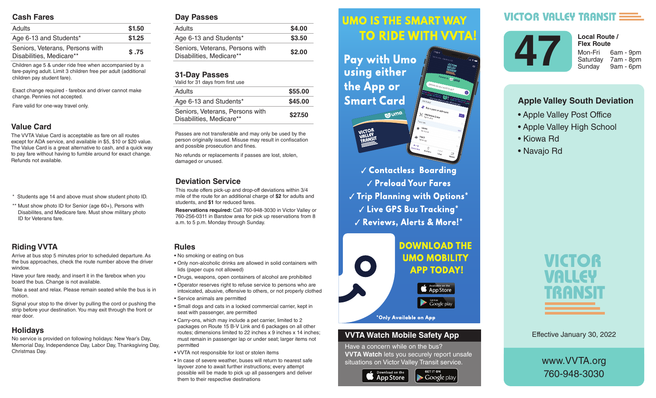### **Cash Fares**

| <b>Adults</b>                                               | \$1.50 |
|-------------------------------------------------------------|--------|
| Age 6-13 and Students*                                      | \$1.25 |
| Seniors, Veterans, Persons with<br>Disabilities, Medicare** | \$.75  |

Children age 5 & under ride free when accompanied by a fare-paying adult. Limit 3 children free per adult (additional children pay student fare).

Exact change required - farebox and driver cannot make change. Pennies not accepted.

Fare valid for one-way travel only.

### **Value Card**

The VVTA Value Card is acceptable as fare on all routes except for ADA service, and available in \$5, \$10 or \$20 value. The Value Card is a great alternative to cash, and a quick way to pay fare without having to fumble around for exact change. Refunds not available.

- \* Students age 14 and above must show student photo ID.
- \*\* Must show photo ID for Senior (age 60+), Persons with Disabilites, and Medicare fare. Must show military photo ID for Veterans fare.

# **Riding VVTA**

Arrive at bus stop 5 minutes prior to scheduled departure. As the bus approaches, check the route number above the driver window.

Have your fare ready, and insert it in the farebox when you board the bus. Change is not available.

Take a seat and relax. Please remain seated while the bus is in motion.

Signal your stop to the driver by pulling the cord or pushing the strip before your destination. You may exit through the front or rear door.

## **Holidays**

No service is provided on following holidays: New Year's Day, Memorial Day, Independence Day, Labor Day, Thanksgiving Day, Christmas Day.

#### **Day Passes**

| Adults                                                      | \$4.00 |
|-------------------------------------------------------------|--------|
| Age 6-13 and Students*                                      | \$3.50 |
| Seniors, Veterans, Persons with<br>Disabilities, Medicare** | \$2.00 |
|                                                             |        |

### **31-Day Passes**

| Valid for 31 days from first use                            |         |
|-------------------------------------------------------------|---------|
| <b>Adults</b>                                               | \$55.00 |
| Age 6-13 and Students*                                      | \$45.00 |
| Seniors, Veterans, Persons with<br>Disabilities, Medicare** | \$27.50 |

Passes are not transferable and may only be used by the person originally issued. Misuse may result in confiscation and possible prosecution and fines.

No refunds or replacements if passes are lost, stolen, damaged or unused.

### **Deviation Service**

This route offers pick-up and drop-off deviations within 3/4 mile of the route for an additional charge of **\$2** for adults and students, and **\$1** for reduced fares.

**Reservations required:** Call 760-948-3030 in Victor Valley or 760-256-0311 in Barstow area for pick up reservations from 8 a.m. to 5 p.m. Monday through Sunday.

### **Rules**

- No smoking or eating on bus
- Only non-alcoholic drinks are allowed in solid containers with lids (paper cups not allowed)
- Drugs, weapons, open containers of alcohol are prohibited
- Operator reserves right to refuse service to persons who are intoxicated, abusive, offensive to others, or not properly clothed • Service animals are permitted
- Small dogs and cats in a locked commercial carrier, kept in seat with passenger, are permitted
- Carry-ons, which may include a pet carrier, limited to 2 packages on Route 15 B-V Link and 6 packages on all other routes; dimensions limited to 22 inches x 9 inches x 14 inches; must remain in passenger lap or under seat; larger items not permitted
- VVTA not responsible for lost or stolen items
- In case of severe weather, buses will return to nearest safe layover zone to await further instructions; every attempt possible will be made to pick up all passengers and deliver them to their respective destinations

#### *<u>UMO IS THE SMART WAY</u>* Arrive at bus stop 5 minutes prior to scheduled departure. As the bus approximation of the bus approximation of the bus approximation of the bus approximation route number above the driver window.

 $\mathbf{h}$  , and it is instructed in the farebox insert in the farebox  $\mathbf{h}$ **Fay with UMO AND SOLUTE:** Using either the bus is in motion.  $\mathbf{S}$  since the driver by pulling the driver by pulling the cord or  $\mathbf{S}$ **Smart Card** 



 *Contactless Boarding*  $\sqrt{\frac{P_{\text{rel}}}{P_{\text{rad}}}}$  Preload Your Fares  $\parallel$   $\parallel$   $\parallel$  rip rignning with Uptions  $\parallel$  $\sim$   $\sim$   $\sim$   $\sim$  CPS Rus Tracking  $^{\star}$ are intoxicated, abusive, offensive to others, or not properly V Reviews, Alerts & More!\*



### **VVTA Watch Mobile Safety App**

Have a concern while on the bus? **VVTA Watch** lets you securely report unsafe situations on Victor Valley Transit service.

**GET IT ON** 

 $\blacktriangleright$  Google play



# **VICTOR VALLEY TRANSIT :**



Saturday 7am - 8pm Sunday 9am - 6pm **Local Route / Flex Route**

### **Apple Valley South Deviation**

- Apple Valley Post Office
- Apple Valley High School
- Kiowa Rd
- Navajo Rd



Effective January 30, 2022

www.VVTA.org 760-948-3030